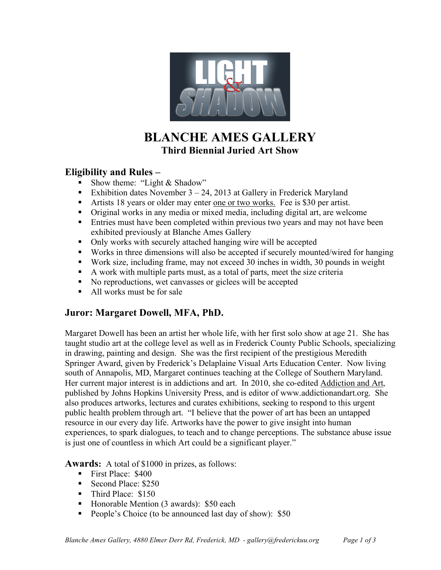

# **BLANCHE AMES GALLERY Third Biennial Juried Art Show**

#### **Eligibility and Rules –**

- Show theme: "Light & Shadow"
- Exhibition dates November  $3 24$ , 2013 at Gallery in Frederick Maryland
- Artists 18 years or older may enter one or two works. Fee is \$30 per artist.
- Original works in any media or mixed media, including digital art, are welcome
- **Entries must have been completed within previous two years and may not have been** exhibited previously at Blanche Ames Gallery
- Only works with securely attached hanging wire will be accepted
- Works in three dimensions will also be accepted if securely mounted/wired for hanging
- Work size, including frame, may not exceed 30 inches in width, 30 pounds in weight
- A work with multiple parts must, as a total of parts, meet the size criteria
- No reproductions, wet canvasses or giclees will be accepted
- All works must be for sale

### **Juror: Margaret Dowell, MFA, PhD.**

Margaret Dowell has been an artist her whole life, with her first solo show at age 21. She has taught studio art at the college level as well as in Frederick County Public Schools, specializing in drawing, painting and design. She was the first recipient of the prestigious Meredith Springer Award, given by Frederick's Delaplaine Visual Arts Education Center. Now living south of Annapolis, MD, Margaret continues teaching at the College of Southern Maryland. Her current major interest is in addictions and art. In 2010, she co-edited Addiction and Art, published by Johns Hopkins University Press, and is editor of www.addictionandart.org. She also produces artworks, lectures and curates exhibitions, seeking to respond to this urgent public health problem through art. "I believe that the power of art has been an untapped resource in our every day life. Artworks have the power to give insight into human experiences, to spark dialogues, to teach and to change perceptions. The substance abuse issue is just one of countless in which Art could be a significant player."

**Awards:** A total of \$1000 in prizes, as follows:

- First Place: \$400
- Second Place: \$250
- Third Place: \$150
- Honorable Mention (3 awards): \$50 each
- People's Choice (to be announced last day of show): \$50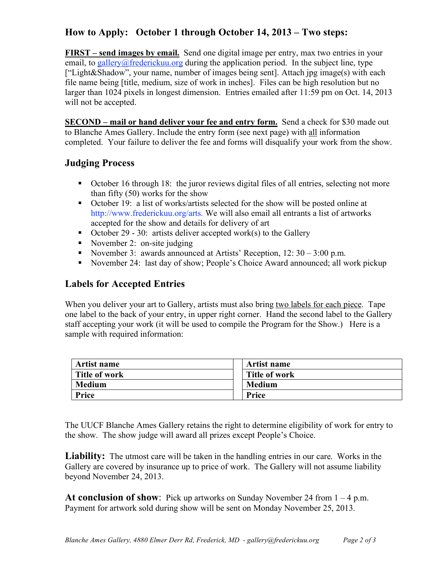## **How to Apply: October 1 through October 14, 2013 – Two steps:**

**FIRST – send images by email.** Send one digital image per entry, max two entries in your email, to gallery@frederickuu.org during the application period. In the subject line, type ["Light&Shadow", your name, number of images being sent]. Attach jpg image(s) with each file name being [title, medium, size of work in inches]. Files can be high resolution but no larger than 1024 pixels in longest dimension. Entries emailed after 11:59 pm on Oct. 14, 2013 will not be accepted.

**SECOND – mail or hand deliver your fee and entry form.** Send a check for \$30 made out to Blanche Ames Gallery. Include the entry form (see next page) with all information completed. Your failure to deliver the fee and forms will disqualify your work from the show.

### **Judging Process**

- October 16 through 18: the juror reviews digital files of all entries, selecting not more than fifty (50) works for the show
- October 19: a list of works/artists selected for the show will be posted online at http://www.frederickuu.org/arts. We will also email all entrants a list of artworks accepted for the show and details for delivery of art
- October 29 30: artists deliver accepted work(s) to the Gallery
- November 2: on-site judging
- November 3: awards announced at Artists' Reception,  $12: 30 3:00$  p.m.
- November 24: last day of show; People's Choice Award announced; all work pickup

#### **Labels for Accepted Entries**

When you deliver your art to Gallery, artists must also bring two labels for each piece. Tape one label to the back of your entry, in upper right corner. Hand the second label to the Gallery staff accepting your work (it will be used to compile the Program for the Show.) Here is a sample with required information:

| Artist name   | Artist name          |  |
|---------------|----------------------|--|
| Title of work | <b>Title of work</b> |  |
| <b>Medium</b> | <b>Medium</b>        |  |
| Price         | <b>Price</b>         |  |

The UUCF Blanche Ames Gallery retains the right to determine eligibility of work for entry to the show. The show judge will award all prizes except People's Choice.

Liability: The utmost care will be taken in the handling entries in our care. Works in the Gallery are covered by insurance up to price of work. The Gallery will not assume liability beyond November 24, 2013.

**At conclusion of show**: Pick up artworks on Sunday November 24 from  $1 - 4$  p.m. Payment for artwork sold during show will be sent on Monday November 25, 2013.